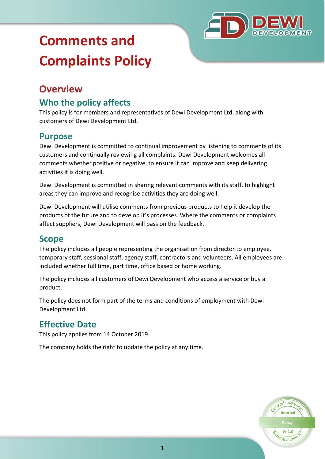

# **Comments and Complaints Policy**

# **Overview**

## **Who the policy affects**

This policy is for members and representatives of Dewi Development Ltd, along with customers of Dewi Development Ltd.

#### **Purpose**

Dewi Development is committed to continual improvement by listening to comments of its customers and continually reviewing all complaints. Dewi Development welcomes all comments whether positive or negative, to ensure it can improve and keep delivering activities it is doing well.

Dewi Development is committed in sharing relevant comments with its staff, to highlight areas they can improve and recognise activities they are doing well.

Dewi Development will utilise comments from previous products to help it develop the products of the future and to develop it's processes. Where the comments or complaints affect suppliers, Dewi Development will pass on the feedback.

#### **Scope**

The policy includes all people representing the organisation from director to employee, temporary staff, sessional staff, agency staff, contractors and volunteers. All employees are included whether full time, part time, office based or home working.

The policy includes all customers of Dewi Development who access a service or buy a product.

The policy does not form part of the terms and conditions of employment with Dewi Development Ltd.

## **Effective Date**

This policy applies from 14 October 2019.

The company holds the right to update the policy at any time.

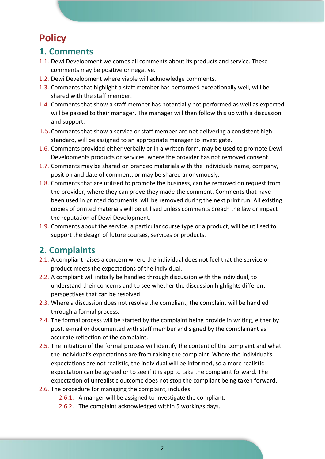# **Policy**

#### **1. Comments**

- 1.1. Dewi Development welcomes all comments about its products and service. These comments may be positive or negative.
- 1.2. Dewi Development where viable will acknowledge comments.
- 1.3. Comments that highlight a staff member has performed exceptionally well, will be shared with the staff member.
- 1.4. Comments that show a staff member has potentially not performed as well as expected will be passed to their manager. The manager will then follow this up with a discussion and support.
- 1.5.Comments that show a service or staff member are not delivering a consistent high standard, will be assigned to an appropriate manager to investigate.
- 1.6. Comments provided either verbally or in a written form, may be used to promote Dewi Developments products or services, where the provider has not removed consent.
- 1.7. Comments may be shared on branded materials with the individuals name, company, position and date of comment, or may be shared anonymously.
- 1.8. Comments that are utilised to promote the business, can be removed on request from the provider, where they can prove they made the comment. Comments that have been used in printed documents, will be removed during the next print run. All existing copies of printed materials will be utilised unless comments breach the law or impact the reputation of Dewi Development.
- 1.9. Comments about the service, a particular course type or a product, will be utilised to support the design of future courses, services or products.

## **2. Complaints**

- 2.1. A compliant raises a concern where the individual does not feel that the service or product meets the expectations of the individual.
- 2.2. A compliant will initially be handled through discussion with the individual, to understand their concerns and to see whether the discussion highlights different perspectives that can be resolved.
- 2.3. Where a discussion does not resolve the compliant, the complaint will be handled through a formal process.
- 2.4. The formal process will be started by the complaint being provide in writing, either by post, e-mail or documented with staff member and signed by the complainant as accurate reflection of the complaint.
- 2.5. The initiation of the formal process will identify the content of the complaint and what the individual's expectations are from raising the complaint. Where the individual's expectations are not realistic, the individual will be informed, so a more realistic expectation can be agreed or to see if it is app to take the complaint forward. The expectation of unrealistic outcome does not stop the compliant being taken forward.
- 2.6. The procedure for managing the complaint, includes:
	- 2.6.1. A manger will be assigned to investigate the compliant.
	- 2.6.2. The complaint acknowledged within 5 workings days.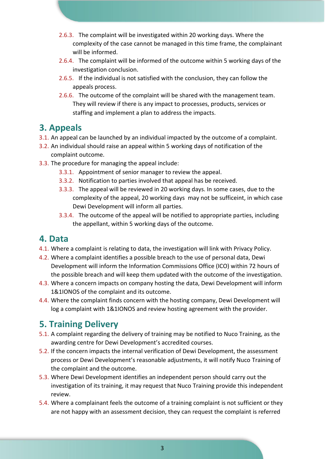- 2.6.3. The complaint will be investigated within 20 working days. Where the complexity of the case cannot be managed in this time frame, the complainant will be informed.
- 2.6.4. The complaint will be informed of the outcome within 5 working days of the investigation conclusion.
- 2.6.5. If the individual is not satisfied with the conclusion, they can follow the appeals process.
- 2.6.6. The outcome of the complaint will be shared with the management team. They will review if there is any impact to processes, products, services or staffing and implement a plan to address the impacts.

#### **3. Appeals**

- 3.1. An appeal can be launched by an individual impacted by the outcome of a complaint.
- 3.2. An individual should raise an appeal within 5 working days of notification of the complaint outcome.
- 3.3. The procedure for managing the appeal include:
	- 3.3.1. Appointment of senior manager to review the appeal.
	- 3.3.2. Notification to parties involved that appeal has be received.
	- 3.3.3. The appeal will be reviewed in 20 working days. In some cases, due to the complexity of the appeal, 20 working days may not be sufficeint, in which case Dewi Development will inform all parties.
	- 3.3.4. The outcome of the appeal will be notified to appropriate parties, including the appellant, within 5 working days of the outcome.

## **4. Data**

- 4.1. Where a complaint is relating to data, the investigation will link with Privacy Policy.
- 4.2. Where a complaint identifies a possible breach to the use of personal data, Dewi Development will inform the Information Commissions Office (ICO) within 72 hours of the possible breach and will keep them updated with the outcome of the investigation.
- 4.3. Where a concern impacts on company hosting the data, Dewi Development will inform 1&1IONOS of the complaint and its outcome.
- 4.4. Where the complaint finds concern with the hosting company, Dewi Development will log a complaint with 1&1IONOS and review hosting agreement with the provider.

## **5. Training Delivery**

- 5.1. A complaint regarding the delivery of training may be notified to Nuco Training, as the awarding centre for Dewi Development's accredited courses.
- 5.2. If the concern impacts the internal verification of Dewi Development, the assessment process or Dewi Development's reasonable adjustments, it will notify Nuco Training of the complaint and the outcome.
- 5.3. Where Dewi Development identifies an independent person should carry out the investigation of its training, it may request that Nuco Training provide this independent review.
- 5.4. Where a complainant feels the outcome of a training complaint is not sufficient or they are not happy with an assessment decision, they can request the complaint is referred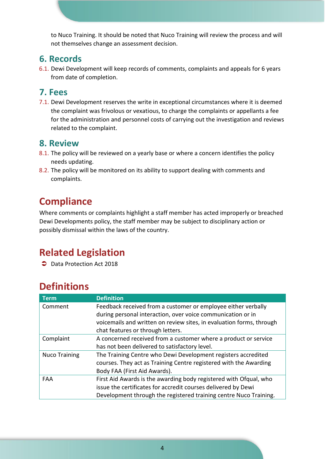to Nuco Training. It should be noted that Nuco Training will review the process and will not themselves change an assessment decision.

#### **6. Records**

6.1. Dewi Development will keep records of comments, complaints and appeals for 6 years from date of completion.

#### **7. Fees**

7.1. Dewi Development reserves the write in exceptional circumstances where it is deemed the complaint was frivolous or vexatious, to charge the complaints or appellants a fee for the administration and personnel costs of carrying out the investigation and reviews related to the complaint.

#### **8. Review**

- 8.1. The policy will be reviewed on a yearly base or where a concern identifies the policy needs updating.
- 8.2. The policy will be monitored on its ability to support dealing with comments and complaints.

# **Compliance**

Where comments or complaints highlight a staff member has acted improperly or breached Dewi Developments policy, the staff member may be subject to disciplinary action or possibly dismissal within the laws of the country.

# **Related Legislation**

**◯** Data Protection Act 2018

# **Definitions**

| <b>Term</b>          | <b>Definition</b>                                                    |
|----------------------|----------------------------------------------------------------------|
| Comment              | Feedback received from a customer or employee either verbally        |
|                      | during personal interaction, over voice communication or in          |
|                      | voicemails and written on review sites, in evaluation forms, through |
|                      | chat features or through letters.                                    |
| Complaint            | A concerned received from a customer where a product or service      |
|                      | has not been delivered to satisfactory level.                        |
| <b>Nuco Training</b> | The Training Centre who Dewi Development registers accredited        |
|                      | courses. They act as Training Centre registered with the Awarding    |
|                      | Body FAA (First Aid Awards).                                         |
| FAA                  | First Aid Awards is the awarding body registered with Ofqual, who    |
|                      | issue the certificates for accredit courses delivered by Dewi        |
|                      | Development through the registered training centre Nuco Training.    |